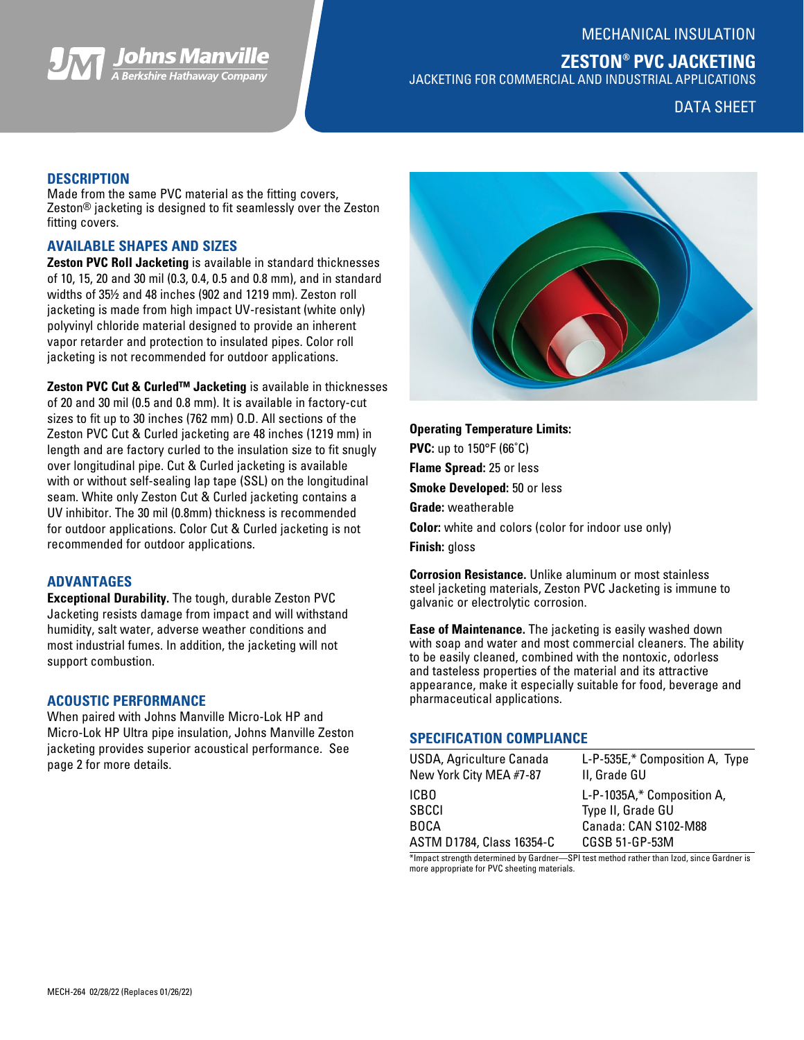MECHANICAL INSULATION

# **ZESTON® PVC JACKETING**

JACKETING FOR COMMERCIAL AND INDUSTRIAL APPLICATIONS

## DATA SHEET

## **DESCRIPTION**

Made from the same PVC material as the fitting covers, Zeston® jacketing is designed to fit seamlessly over the Zeston fitting covers.

*Johns Manville*<br>A Berkshire Hathaway Company

## **AVAILABLE SHAPES AND SIZES**

**Zeston PVC Roll Jacketing** is available in standard thicknesses of 10, 15, 20 and 30 mil (0.3, 0.4, 0.5 and 0.8 mm), and in standard widths of 35½ and 48 inches (902 and 1219 mm). Zeston roll jacketing is made from high impact UV-resistant (white only) polyvinyl chloride material designed to provide an inherent vapor retarder and protection to insulated pipes. Color roll jacketing is not recommended for outdoor applications.

**Zeston PVC Cut & Curled™ Jacketing** is available in thicknesses of 20 and 30 mil (0.5 and 0.8 mm). It is available in factory-cut sizes to fit up to 30 inches (762 mm) O.D. All sections of the Zeston PVC Cut & Curled jacketing are 48 inches (1219 mm) in length and are factory curled to the insulation size to fit snugly over longitudinal pipe. Cut & Curled jacketing is available with or without self-sealing lap tape (SSL) on the longitudinal seam. White only Zeston Cut & Curled jacketing contains a UV inhibitor. The 30 mil (0.8mm) thickness is recommended for outdoor applications. Color Cut & Curled jacketing is not recommended for outdoor applications.

## **ADVANTAGES**

**Exceptional Durability.** The tough, durable Zeston PVC Jacketing resists damage from impact and will withstand humidity, salt water, adverse weather conditions and most industrial fumes. In addition, the jacketing will not support combustion.

## **ACOUSTIC PERFORMANCE**

When paired with Johns Manville Micro-Lok HP and Micro-Lok HP Ultra pipe insulation, Johns Manville Zeston jacketing provides superior acoustical performance. See page 2 for more details.



**Operating Temperature Limits: PVC:** up to 150°F (66˚C) **Flame Spread:** 25 or less **Smoke Developed:** 50 or less **Grade:** weatherable **Color:** white and colors (color for indoor use only) **Finish:** gloss

**Corrosion Resistance.** Unlike aluminum or most stainless steel jacketing materials, Zeston PVC Jacketing is immune to galvanic or electrolytic corrosion.

**Ease of Maintenance.** The jacketing is easily washed down with soap and water and most commercial cleaners. The ability to be easily cleaned, combined with the nontoxic, odorless and tasteless properties of the material and its attractive appearance, make it especially suitable for food, beverage and pharmaceutical applications.

## **SPECIFICATION COMPLIANCE**

| <b>USDA, Agriculture Canada</b><br>New York City MEA #7-87 | L-P-535E,* Composition A, Type<br>II, Grade GU |
|------------------------------------------------------------|------------------------------------------------|
| ICBO                                                       | L-P-1035A,* Composition A,                     |
| SBCCI                                                      | Type II, Grade GU                              |
| BOCA                                                       | Canada: CAN S102-M88                           |
| ASTM D1784, Class 16354-C                                  | CGSB 51-GP-53M                                 |
|                                                            |                                                |

\*Impact strength determined by Gardner—SPI test method rather than Izod, since Gardner is more appropriate for PVC sheeting materials.